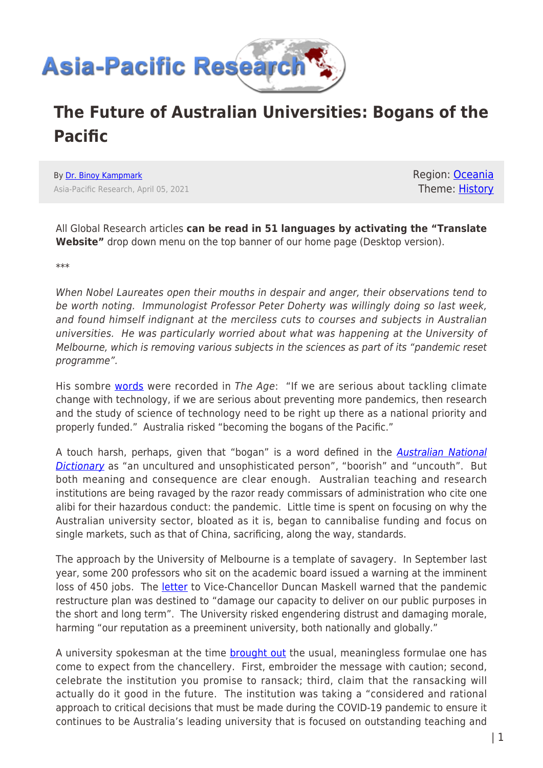

## **The Future of Australian Universities: Bogans of the Pacific**

By [Dr. Binoy Kampmark](https://www.asia-pacificresearch.com/author/binoy-kampmark) Asia-Pacific Research, April 05, 2021 Region: [Oceania](https://www.asia-pacificresearch.com/region/as-oceania) Theme: [History](https://www.asia-pacificresearch.com/theme/culture-society-history)

All Global Research articles **can be read in 51 languages by activating the "Translate Website"** drop down menu on the top banner of our home page (Desktop version).

\*\*\*

When Nobel Laureates open their mouths in despair and anger, their observations tend to be worth noting. Immunologist Professor Peter Doherty was willingly doing so last week, and found himself indignant at the merciless cuts to courses and subjects in Australian universities. He was particularly worried about what was happening at the University of Melbourne, which is removing various subjects in the sciences as part of its "pandemic reset programme".

His sombre [words](https://www.theage.com.au/national/victoria/melbourne-uni-cuts-threaten-to-make-us-the-bogans-of-the-pacific-20210326-p57ehg.html) were recorded in The Age: "If we are serious about tackling climate change with technology, if we are serious about preventing more pandemics, then research and the study of science of technology need to be right up there as a national priority and properly funded." Australia risked "becoming the bogans of the Pacific."

A touch harsh, perhaps, given that "bogan" is a word defined in the **[Australian National](https://catalogue.nla.gov.au/Record/7011494?lookfor=moore%20australian%20national%20dictionary&offset=4&max=1807798)** [Dictionary](https://catalogue.nla.gov.au/Record/7011494?lookfor=moore%20australian%20national%20dictionary&offset=4&max=1807798) as "an uncultured and unsophisticated person", "boorish" and "uncouth". But both meaning and consequence are clear enough. Australian teaching and research institutions are being ravaged by the razor ready commissars of administration who cite one alibi for their hazardous conduct: the pandemic. Little time is spent on focusing on why the Australian university sector, bloated as it is, began to cannibalise funding and focus on single markets, such as that of China, sacrificing, along the way, standards.

The approach by the University of Melbourne is a template of savagery. In September last year, some 200 professors who sit on the academic board issued a warning at the imminent loss of 450 jobs. The [letter](https://www.theage.com.au/national/victoria/senior-melbourne-uni-staff-warn-cuts-will-do-long-term-harm-20200917-p55wlp.html) to Vice-Chancellor Duncan Maskell warned that the pandemic restructure plan was destined to "damage our capacity to deliver on our public purposes in the short and long term". The University risked engendering distrust and damaging morale, harming "our reputation as a preeminent university, both nationally and globally."

A university spokesman at the time **[brought out](https://www.theage.com.au/national/victoria/senior-melbourne-uni-staff-warn-cuts-will-do-long-term-harm-20200917-p55wlp.html)** the usual, meaningless formulae one has come to expect from the chancellery. First, embroider the message with caution; second, celebrate the institution you promise to ransack; third, claim that the ransacking will actually do it good in the future. The institution was taking a "considered and rational approach to critical decisions that must be made during the COVID-19 pandemic to ensure it continues to be Australia's leading university that is focused on outstanding teaching and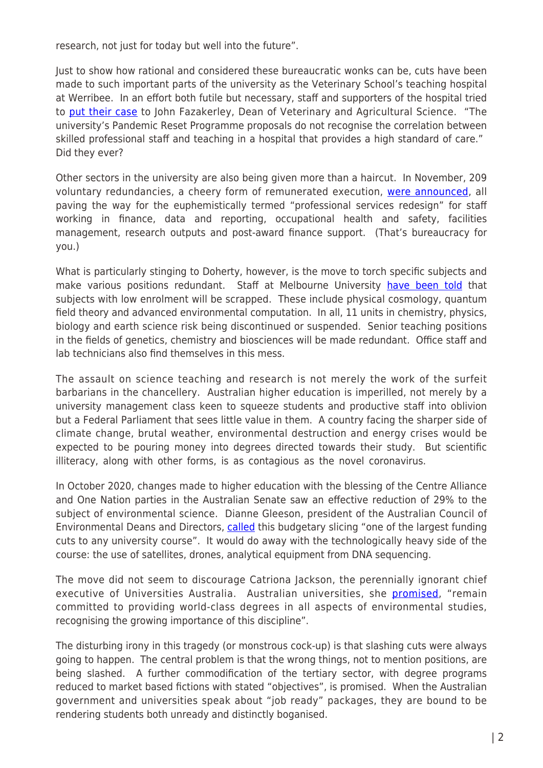research, not just for today but well into the future".

Just to show how rational and considered these bureaucratic wonks can be, cuts have been made to such important parts of the university as the Veterinary School's teaching hospital at Werribee. In an effort both futile but necessary, staff and supporters of the hospital tried to [put their case](https://campusmorningmail.com.au/news/campus-is-open-but-uni-melbourne-continues-its-pandemic-reset/) to John Fazakerley, Dean of Veterinary and Agricultural Science. "The university's Pandemic Reset Programme proposals do not recognise the correlation between skilled professional staff and teaching in a hospital that provides a high standard of care." Did they ever?

Other sectors in the university are also being given more than a haircut. In November, 209 voluntary redundancies, a cheery form of remunerated execution, [were announced,](https://campusmorningmail.com.au/news/campus-is-open-but-uni-melbourne-continues-its-pandemic-reset/) all paving the way for the euphemistically termed "professional services redesign" for staff working in finance, data and reporting, occupational health and safety, facilities management, research outputs and post-award finance support. (That's bureaucracy for you.)

What is particularly stinging to Doherty, however, is the move to torch specific subjects and make various positions redundant. Staff at Melbourne University [have been told](https://www.theage.com.au/national/victoria/melbourne-uni-cuts-threaten-to-make-us-the-bogans-of-the-pacific-20210326-p57ehg.html) that subjects with low enrolment will be scrapped. These include physical cosmology, quantum field theory and advanced environmental computation. In all, 11 units in chemistry, physics, biology and earth science risk being discontinued or suspended. Senior teaching positions in the fields of genetics, chemistry and biosciences will be made redundant. Office staff and lab technicians also find themselves in this mess.

The assault on science teaching and research is not merely the work of the surfeit barbarians in the chancellery. Australian higher education is imperilled, not merely by a university management class keen to squeeze students and productive staff into oblivion but a Federal Parliament that sees little value in them. A country facing the sharper side of climate change, brutal weather, environmental destruction and energy crises would be expected to be pouring money into degrees directed towards their study. But scientific illiteracy, along with other forms, is as contagious as the novel coronavirus.

In October 2020, changes made to higher education with the blessing of the Centre Alliance and One Nation parties in the Australian Senate saw an effective reduction of 29% to the subject of environmental science. Dianne Gleeson, president of the Australian Council of Environmental Deans and Directors, [called](https://www.theguardian.com/australia-news/2020/oct/14/environmental-science-hit-with-severe-funding-cuts-in-coalition-universities-overhaul) this budgetary slicing "one of the largest funding cuts to any university course". It would do away with the technologically heavy side of the course: the use of satellites, drones, analytical equipment from DNA sequencing.

The move did not seem to discourage Catriona Jackson, the perennially ignorant chief executive of Universities Australia. Australian universities, she [promised](https://www.theguardian.com/australia-news/2020/oct/14/environmental-science-hit-with-severe-funding-cuts-in-coalition-universities-overhaul), "remain committed to providing world-class degrees in all aspects of environmental studies, recognising the growing importance of this discipline".

The disturbing irony in this tragedy (or monstrous cock-up) is that slashing cuts were always going to happen. The central problem is that the wrong things, not to mention positions, are being slashed. A further commodification of the tertiary sector, with degree programs reduced to market based fictions with stated "objectives", is promised. When the Australian government and universities speak about "job ready" packages, they are bound to be rendering students both unready and distinctly boganised.